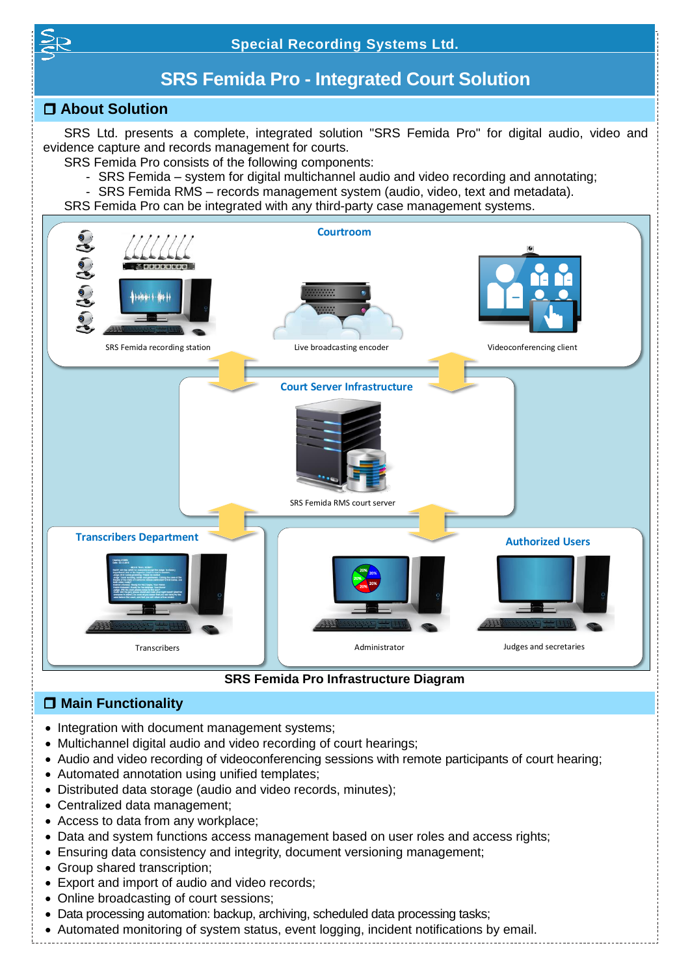

# **SRS Femida Pro - Integrated Court Solution**

# **About Solution**

SRS Ltd. presents a complete, integrated solution "SRS Femida Pro" for digital audio, video and evidence capture and records management for courts.

SRS Femida Pro consists of the following components:

- SRS Femida system for digital multichannel audio and video recording and annotating;
- SRS Femida RMS records management system (audio, video, text and metadata).
- SRS Femida Pro can be integrated with any third-party case management systems.



**SRS Femida Pro Infrastructure Diagram**

# **Main Functionality**

- Integration with document management systems;
- Multichannel digital audio and video recording of court hearings;
- Audio and video recording of videoconferencing sessions with remote participants of court hearing;
- Automated annotation using unified templates;
- Distributed data storage (audio and video records, minutes);
- Centralized data management;
- Access to data from any workplace;
- Data and system functions access management based on user roles and access rights;
- Ensuring data consistency and integrity, document versioning management;
- Group shared transcription;
- Export and import of audio and video records;
- Online broadcasting of court sessions;
- Data processing automation: backup, archiving, scheduled data processing tasks;
- Automated monitoring of system status, event logging, incident notifications by email.